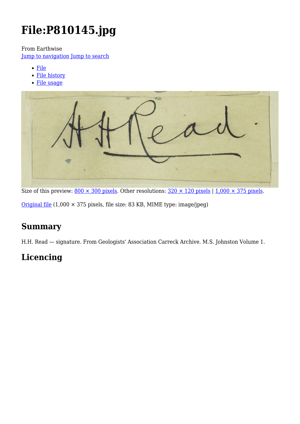# **File:P810145.jpg**

From Earthwise

[Jump to navigation](#page--1-0) [Jump to search](#page--1-0)

- [File](#page--1-0)
- [File history](#page--1-0)
- [File usage](#page--1-0)



Size of this preview:  $800 \times 300$  pixels. Other resolutions:  $320 \times 120$  pixels | 1,000  $\times$  375 pixels.

[Original file](http://earthwise.bgs.ac.uk/images/9/96/P810145.jpg) (1,000 × 375 pixels, file size: 83 KB, MIME type: image/jpeg)

# **Summary**

H.H. Read — signature. From Geologists' Association Carreck Archive. M.S. Johnston Volume 1.

# **Licencing**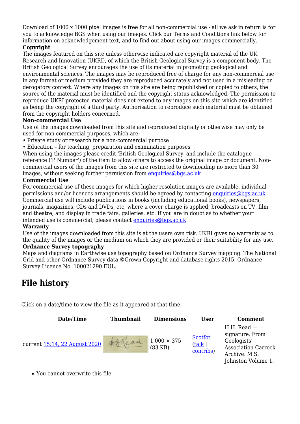Download of 1000 x 1000 pixel images is free for all non-commercial use - all we ask in return is for you to acknowledge BGS when using our images. Click our Terms and Conditions link below for information on acknowledgement text, and to find out about using our images commercially.

#### **Copyright**

The images featured on this site unless otherwise indicated are copyright material of the UK Research and Innovation (UKRI), of which the British Geological Survey is a component body. The British Geological Survey encourages the use of its material in promoting geological and environmental sciences. The images may be reproduced free of charge for any non-commercial use in any format or medium provided they are reproduced accurately and not used in a misleading or derogatory context. Where any images on this site are being republished or copied to others, the source of the material must be identified and the copyright status acknowledged. The permission to reproduce UKRI protected material does not extend to any images on this site which are identified as being the copyright of a third party. Authorisation to reproduce such material must be obtained from the copyright holders concerned.

#### **Non-commercial Use**

Use of the images downloaded from this site and reproduced digitally or otherwise may only be used for non-commercial purposes, which are:-

- Private study or research for a non-commercial purpose
- Education for teaching, preparation and examination purposes

When using the images please credit 'British Geological Survey' and include the catalogue reference ('P Number') of the item to allow others to access the original image or document. Noncommercial users of the images from this site are restricted to downloading no more than 30 images, without seeking further permission from [enquiries@bgs.ac.uk](mailto:enquiries@bgs.ac.uk)

#### **Commercial Use**

For commercial use of these images for which higher resolution images are available, individual permissions and/or licences arrangements should be agreed by contacting [enquiries@bgs.ac.uk](mailto:enquiries@bgs.ac.uk) Commercial use will include publications in books (including educational books), newspapers, journals, magazines, CDs and DVDs, etc, where a cover charge is applied; broadcasts on TV, film and theatre; and display in trade fairs, galleries, etc. If you are in doubt as to whether your intended use is commercial, please contact [enquiries@bgs.ac.uk](mailto:enquiries@bgs.ac.uk)

#### **Warranty**

Use of the images downloaded from this site is at the users own risk. UKRI gives no warranty as to the quality of the images or the medium on which they are provided or their suitability for any use.

#### **Ordnance Survey topography**

Maps and diagrams in Earthwise use topography based on Ordnance Survey mapping. The National Grid and other Ordnance Survey data ©Crown Copyright and database rights 2015. Ordnance Survey Licence No. 100021290 EUL.

## **File history**

Click on a date/time to view the file as it appeared at that time.

| Date/Time                     | <b>Thumbnail</b> | <b>Dimensions</b>               | User                                  | <b>Comment</b>                                                                                                         |
|-------------------------------|------------------|---------------------------------|---------------------------------------|------------------------------------------------------------------------------------------------------------------------|
| current 15:14, 22 August 2020 | Att Read.        | $1,000 \times 375$<br>$(83$ KB) | <b>Scotfot</b><br>(talk)<br>contribs) | $H.H.$ Read $-$<br>signature. From<br>Geologists'<br><b>Association Carreck</b><br>Archive. M.S.<br>Johnston Volume 1. |

You cannot overwrite this file.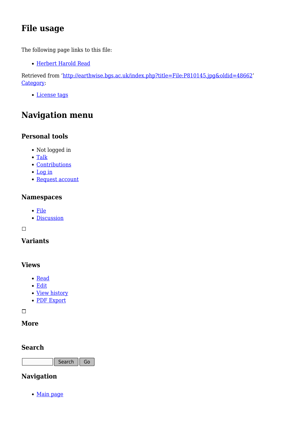# **File usage**

The following page links to this file:

[Herbert Harold Read](http://earthwise.bgs.ac.uk/index.php/Herbert_Harold_Read)

Retrieved from ['http://earthwise.bgs.ac.uk/index.php?title=File:P810145.jpg&oldid=48662](http://earthwise.bgs.ac.uk/index.php?title=File:P810145.jpg&oldid=48662)' [Category](http://earthwise.bgs.ac.uk/index.php/Special:Categories):

[License tags](http://earthwise.bgs.ac.uk/index.php/Category:License_tags)

# **Navigation menu**

### **Personal tools**

- Not logged in
- [Talk](http://earthwise.bgs.ac.uk/index.php/Special:MyTalk)
- [Contributions](http://earthwise.bgs.ac.uk/index.php/Special:MyContributions)
- [Log in](http://earthwise.bgs.ac.uk/index.php?title=Special:UserLogin&returnto=File%3AP810145.jpg&returntoquery=action%3Dmpdf)
- [Request account](http://earthwise.bgs.ac.uk/index.php/Special:RequestAccount)

### **Namespaces**

- [File](http://earthwise.bgs.ac.uk/index.php/File:P810145.jpg)
- [Discussion](http://earthwise.bgs.ac.uk/index.php?title=File_talk:P810145.jpg&action=edit&redlink=1)

 $\Box$ 

### **Variants**

### **Views**

- [Read](http://earthwise.bgs.ac.uk/index.php/File:P810145.jpg)
- [Edit](http://earthwise.bgs.ac.uk/index.php?title=File:P810145.jpg&action=edit)
- [View history](http://earthwise.bgs.ac.uk/index.php?title=File:P810145.jpg&action=history)
- [PDF Export](http://earthwise.bgs.ac.uk/index.php?title=File:P810145.jpg&action=mpdf)

 $\overline{\phantom{a}}$ 

### **More**

### **Search**

Search Go

### **Navigation**

• [Main page](http://earthwise.bgs.ac.uk/index.php/Main_Page)